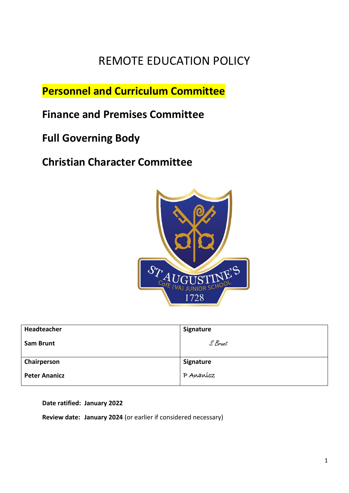# REMOTE EDUCATION POLICY

**Personnel and Curriculum Committee**

**Finance and Premises Committee**

**Full Governing Body** 

**Christian Character Committee**



| Headteacher          | Signature |
|----------------------|-----------|
| Sam Brunt            | S Brunt   |
|                      |           |
| Chairperson          | Signature |
| <b>Peter Ananicz</b> | P Ananícz |

**Date ratified: January 2022**

**Review date: January 2024** (or earlier if considered necessary)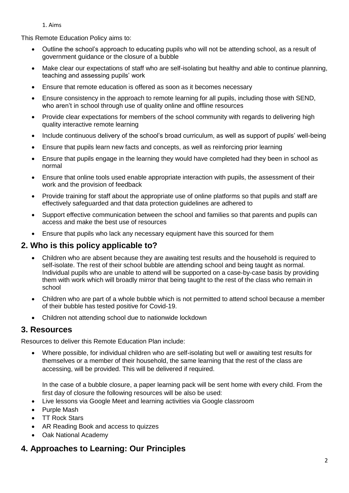1. Aims

This Remote Education Policy aims to:

- Outline the school's approach to educating pupils who will not be attending school, as a result of government guidance or the closure of a bubble
- Make clear our expectations of staff who are self-isolating but healthy and able to continue planning, teaching and assessing pupils' work
- Ensure that remote education is offered as soon as it becomes necessary
- Ensure consistency in the approach to remote learning for all pupils, including those with SEND, who aren't in school through use of quality online and offline resources
- Provide clear expectations for members of the school community with regards to delivering high quality interactive remote learning
- Include continuous delivery of the school's broad curriculum, as well as support of pupils' well-being
- Ensure that pupils learn new facts and concepts, as well as reinforcing prior learning
- Ensure that pupils engage in the learning they would have completed had they been in school as normal
- Ensure that online tools used enable appropriate interaction with pupils, the assessment of their work and the provision of feedback
- Provide training for staff about the appropriate use of online platforms so that pupils and staff are effectively safeguarded and that data protection guidelines are adhered to
- Support effective communication between the school and families so that parents and pupils can access and make the best use of resources
- Ensure that pupils who lack any necessary equipment have this sourced for them

### **2. Who is this policy applicable to?**

- Children who are absent because they are awaiting test results and the household is required to self-isolate. The rest of their school bubble are attending school and being taught as normal. Individual pupils who are unable to attend will be supported on a case-by-case basis by providing them with work which will broadly mirror that being taught to the rest of the class who remain in school
- Children who are part of a whole bubble which is not permitted to attend school because a member of their bubble has tested positive for Covid-19.
- Children not attending school due to nationwide lockdown

### **3. Resources**

Resources to deliver this Remote Education Plan include:

 Where possible, for individual children who are self-isolating but well or awaiting test results for themselves or a member of their household, the same learning that the rest of the class are accessing, will be provided. This will be delivered if required.

In the case of a bubble closure, a paper learning pack will be sent home with every child. From the first day of closure the following resources will be also be used:

- Live lessons via Google Meet and learning activities via Google classroom
- Purple Mash
- TT Rock Stars
- AR Reading Book and access to quizzes
- Oak National Academy

## **4. Approaches to Learning: Our Principles**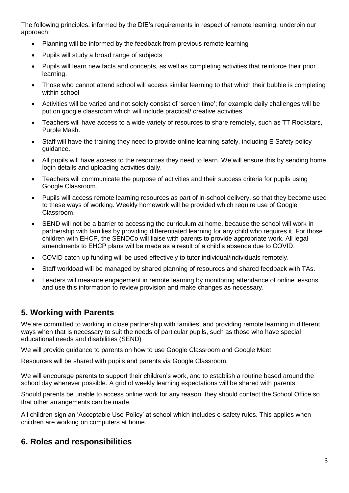The following principles, informed by the DfE's requirements in respect of remote learning, underpin our approach:

- Planning will be informed by the feedback from previous remote learning
- Pupils will study a broad range of subjects
- Pupils will learn new facts and concepts, as well as completing activities that reinforce their prior learning.
- Those who cannot attend school will access similar learning to that which their bubble is completing within school
- Activities will be varied and not solely consist of 'screen time'; for example daily challenges will be put on google classroom which will include practical/ creative activities.
- Teachers will have access to a wide variety of resources to share remotely, such as TT Rockstars, Purple Mash.
- Staff will have the training they need to provide online learning safely, including E Safety policy guidance.
- All pupils will have access to the resources they need to learn. We will ensure this by sending home login details and uploading activities daily.
- Teachers will communicate the purpose of activities and their success criteria for pupils using Google Classroom.
- Pupils will access remote learning resources as part of in-school delivery, so that they become used to these ways of working. Weekly homework will be provided which require use of Google Classroom.
- SEND will not be a barrier to accessing the curriculum at home, because the school will work in partnership with families by providing differentiated learning for any child who requires it. For those children with EHCP, the SENDCo will liaise with parents to provide appropriate work. All legal amendments to EHCP plans will be made as a result of a child's absence due to COVID.
- COVID catch-up funding will be used effectively to tutor individual/individuals remotely.
- Staff workload will be managed by shared planning of resources and shared feedback with TAs.
- Leaders will measure engagement in remote learning by monitoring attendance of online lessons and use this information to review provision and make changes as necessary.

## **5. Working with Parents**

We are committed to working in close partnership with families, and providing remote learning in different ways when that is necessary to suit the needs of particular pupils, such as those who have special educational needs and disabilities (SEND)

We will provide guidance to parents on how to use Google Classroom and Google Meet.

Resources will be shared with pupils and parents via Google Classroom.

We will encourage parents to support their children's work, and to establish a routine based around the school day wherever possible. A grid of weekly learning expectations will be shared with parents.

Should parents be unable to access online work for any reason, they should contact the School Office so that other arrangements can be made.

All children sign an 'Acceptable Use Policy' at school which includes e-safety rules. This applies when children are working on computers at home.

### **6. Roles and responsibilities**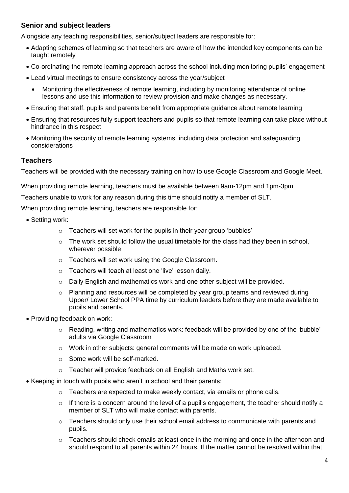#### **Senior and subject leaders**

Alongside any teaching responsibilities, senior/subject leaders are responsible for:

- Adapting schemes of learning so that teachers are aware of how the intended key components can be taught remotely
- Co-ordinating the remote learning approach across the school including monitoring pupils' engagement
- Lead virtual meetings to ensure consistency across the year/subject
	- Monitoring the effectiveness of remote learning, including by monitoring attendance of online lessons and use this information to review provision and make changes as necessary.
- Ensuring that staff, pupils and parents benefit from appropriate guidance about remote learning
- Ensuring that resources fully support teachers and pupils so that remote learning can take place without hindrance in this respect
- Monitoring the security of remote learning systems, including data protection and safeguarding considerations

#### **Teachers**

Teachers will be provided with the necessary training on how to use Google Classroom and Google Meet.

When providing remote learning, teachers must be available between 9am-12pm and 1pm-3pm

Teachers unable to work for any reason during this time should notify a member of SLT.

When providing remote learning, teachers are responsible for:

- Setting work:
	- o Teachers will set work for the pupils in their year group 'bubbles'
	- $\circ$  The work set should follow the usual timetable for the class had they been in school. wherever possible
	- o Teachers will set work using the Google Classroom.
	- o Teachers will teach at least one 'live' lesson daily.
	- $\circ$  Daily English and mathematics work and one other subject will be provided.
	- o Planning and resources will be completed by year group teams and reviewed during Upper/ Lower School PPA time by curriculum leaders before they are made available to pupils and parents.
- Providing feedback on work:
	- o Reading, writing and mathematics work: feedback will be provided by one of the 'bubble' adults via Google Classroom
	- $\circ$  Work in other subjects: general comments will be made on work uploaded.
	- o Some work will be self-marked.
	- o Teacher will provide feedback on all English and Maths work set.
- Keeping in touch with pupils who aren't in school and their parents:
	- $\circ$  Teachers are expected to make weekly contact, via emails or phone calls.
	- $\circ$  If there is a concern around the level of a pupil's engagement, the teacher should notify a member of SLT who will make contact with parents.
	- $\circ$  Teachers should only use their school email address to communicate with parents and pupils.
	- $\circ$  Teachers should check emails at least once in the morning and once in the afternoon and should respond to all parents within 24 hours. If the matter cannot be resolved within that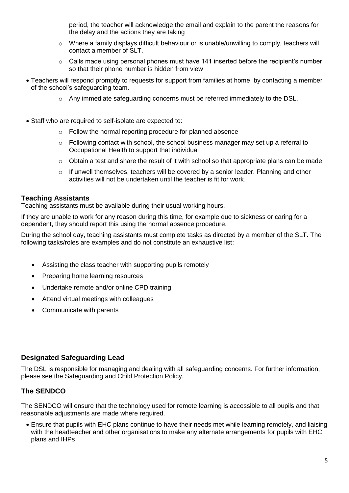period, the teacher will acknowledge the email and explain to the parent the reasons for the delay and the actions they are taking

- $\circ$  Where a family displays difficult behaviour or is unable/unwilling to comply, teachers will contact a member of SLT.
- o Calls made using personal phones must have 141 inserted before the recipient's number so that their phone number is hidden from view
- Teachers will respond promptly to requests for support from families at home, by contacting a member of the school's safeguarding team.
	- $\circ$  Any immediate safeguarding concerns must be referred immediately to the DSL.
- Staff who are required to self-isolate are expected to:
	- o Follow the normal reporting procedure for planned absence
	- $\circ$  Following contact with school, the school business manager may set up a referral to Occupational Health to support that individual
	- $\circ$  Obtain a test and share the result of it with school so that appropriate plans can be made
	- $\circ$  If unwell themselves, teachers will be covered by a senior leader. Planning and other activities will not be undertaken until the teacher is fit for work.

#### **Teaching Assistants**

Teaching assistants must be available during their usual working hours.

If they are unable to work for any reason during this time, for example due to sickness or caring for a dependent, they should report this using the normal absence procedure.

During the school day, teaching assistants must complete tasks as directed by a member of the SLT. The following tasks/roles are examples and do not constitute an exhaustive list:

- Assisting the class teacher with supporting pupils remotely
- Preparing home learning resources
- Undertake remote and/or online CPD training
- Attend virtual meetings with colleagues
- Communicate with parents

#### **Designated Safeguarding Lead**

The DSL is responsible for managing and dealing with all safeguarding concerns. For further information, please see the Safeguarding and Child Protection Policy.

#### **The SENDCO**

The SENDCO will ensure that the technology used for remote learning is accessible to all pupils and that reasonable adjustments are made where required.

 Ensure that pupils with EHC plans continue to have their needs met while learning remotely, and liaising with the headteacher and other organisations to make any alternate arrangements for pupils with EHC plans and IHPs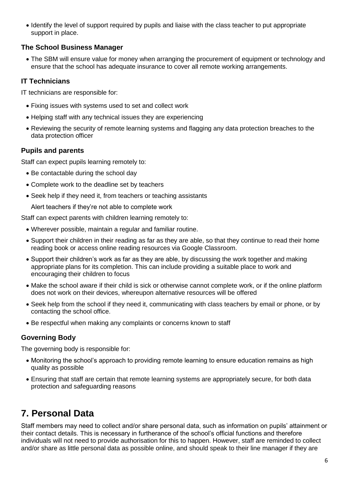• Identify the level of support required by pupils and liaise with the class teacher to put appropriate support in place.

#### **The School Business Manager**

 The SBM will ensure value for money when arranging the procurement of equipment or technology and ensure that the school has adequate insurance to cover all remote working arrangements.

### **IT Technicians**

IT technicians are responsible for:

- Fixing issues with systems used to set and collect work
- Helping staff with any technical issues they are experiencing
- Reviewing the security of remote learning systems and flagging any data protection breaches to the data protection officer

### **Pupils and parents**

Staff can expect pupils learning remotely to:

- Be contactable during the school day
- Complete work to the deadline set by teachers
- Seek help if they need it, from teachers or teaching assistants

Alert teachers if they're not able to complete work

Staff can expect parents with children learning remotely to:

- Wherever possible, maintain a regular and familiar routine.
- Support their children in their reading as far as they are able, so that they continue to read their home reading book or access online reading resources via Google Classroom.
- Support their children's work as far as they are able, by discussing the work together and making appropriate plans for its completion. This can include providing a suitable place to work and encouraging their children to focus
- Make the school aware if their child is sick or otherwise cannot complete work, or if the online platform does not work on their devices, whereupon alternative resources will be offered
- Seek help from the school if they need it, communicating with class teachers by email or phone, or by contacting the school office.
- Be respectful when making any complaints or concerns known to staff

#### **Governing Body**

The governing body is responsible for:

- Monitoring the school's approach to providing remote learning to ensure education remains as high quality as possible
- Ensuring that staff are certain that remote learning systems are appropriately secure, for both data protection and safeguarding reasons

# **7. Personal Data**

Staff members may need to collect and/or share personal data, such as information on pupils' attainment or their contact details. This is necessary in furtherance of the school's official functions and therefore individuals will not need to provide authorisation for this to happen. However, staff are reminded to collect and/or share as little personal data as possible online, and should speak to their line manager if they are